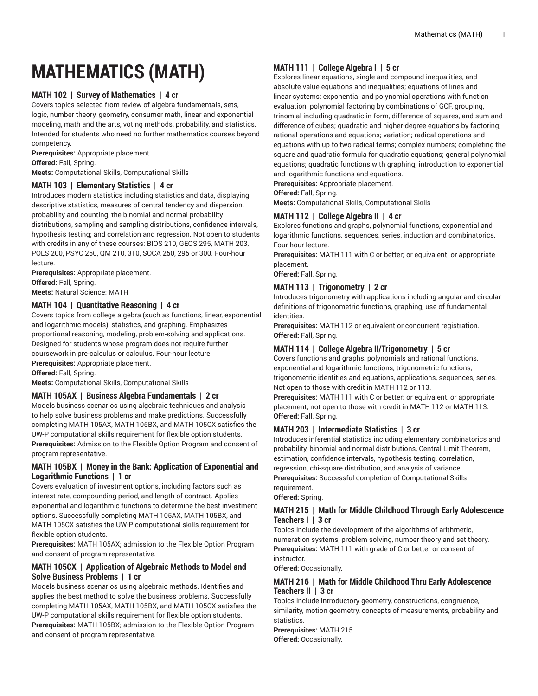# **MATHEMATICS (MATH)**

# **MATH 102 | Survey of Mathematics | 4 cr**

Covers topics selected from review of algebra fundamentals, sets, logic, number theory, geometry, consumer math, linear and exponential modeling, math and the arts, voting methods, probability, and statistics. Intended for students who need no further mathematics courses beyond competency.

**Prerequisites:** Appropriate placement.

**Offered:** Fall, Spring.

**Meets:** Computational Skills, Computational Skills

#### **MATH 103 | Elementary Statistics | 4 cr**

Introduces modern statistics including statistics and data, displaying descriptive statistics, measures of central tendency and dispersion, probability and counting, the binomial and normal probability distributions, sampling and sampling distributions, confidence intervals, hypothesis testing; and correlation and regression. Not open to students with credits in any of these courses: BIOS 210, GEOS 295, MATH 203, POLS 200, PSYC 250, QM 210, 310, SOCA 250, 295 or 300. Four-hour lecture.

**Prerequisites:** Appropriate placement. **Offered:** Fall, Spring. **Meets:** Natural Science: MATH

## **MATH 104 | Quantitative Reasoning | 4 cr**

Covers topics from college algebra (such as functions, linear, exponential and logarithmic models), statistics, and graphing. Emphasizes proportional reasoning, modeling, problem-solving and applications. Designed for students whose program does not require further coursework in pre-calculus or calculus. Four-hour lecture. **Prerequisites:** Appropriate placement.

**Offered:** Fall, Spring.

**Meets:** Computational Skills, Computational Skills

## **MATH 105AX | Business Algebra Fundamentals | 2 cr**

Models business scenarios using algebraic techniques and analysis to help solve business problems and make predictions. Successfully completing MATH 105AX, MATH 105BX, and MATH 105CX satisfies the UW-P computational skills requirement for flexible option students. **Prerequisites:** Admission to the Flexible Option Program and consent of program representative.

## **MATH 105BX | Money in the Bank: Application of Exponential and Logarithmic Functions | 1 cr**

Covers evaluation of investment options, including factors such as interest rate, compounding period, and length of contract. Applies exponential and logarithmic functions to determine the best investment options. Successfully completing MATH 105AX, MATH 105BX, and MATH 105CX satisfies the UW-P computational skills requirement for flexible option students.

**Prerequisites:** MATH 105AX; admission to the Flexible Option Program and consent of program representative.

## **MATH 105CX | Application of Algebraic Methods to Model and Solve Business Problems | 1 cr**

Models business scenarios using algebraic methods. Identifies and applies the best method to solve the business problems. Successfully completing MATH 105AX, MATH 105BX, and MATH 105CX satisfies the UW-P computational skills requirement for flexible option students. **Prerequisites:** MATH 105BX; admission to the Flexible Option Program and consent of program representative.

# **MATH 111 | College Algebra I | 5 cr**

Explores linear equations, single and compound inequalities, and absolute value equations and inequalities; equations of lines and linear systems; exponential and polynomial operations with function evaluation; polynomial factoring by combinations of GCF, grouping, trinomial including quadratic-in-form, difference of squares, and sum and difference of cubes; quadratic and higher-degree equations by factoring; rational operations and equations; variation; radical operations and equations with up to two radical terms; complex numbers; completing the square and quadratic formula for quadratic equations; general polynomial equations; quadratic functions with graphing; introduction to exponential and logarithmic functions and equations.

**Prerequisites:** Appropriate placement.

**Offered:** Fall, Spring.

**Meets:** Computational Skills, Computational Skills

## **MATH 112 | College Algebra II | 4 cr**

Explores functions and graphs, polynomial functions, exponential and logarithmic functions, sequences, series, induction and combinatorics. Four hour lecture.

**Prerequisites:** MATH 111 with C or better; or equivalent; or appropriate placement.

**Offered:** Fall, Spring.

## **MATH 113 | Trigonometry | 2 cr**

Introduces trigonometry with applications including angular and circular definitions of trigonometric functions, graphing, use of fundamental identities.

**Prerequisites:** MATH 112 or equivalent or concurrent registration. **Offered:** Fall, Spring.

## **MATH 114 | College Algebra II/Trigonometry | 5 cr**

Covers functions and graphs, polynomials and rational functions, exponential and logarithmic functions, trigonometric functions, trigonometric identities and equations, applications, sequences, series. Not open to those with credit in MATH 112 or 113.

**Prerequisites:** MATH 111 with C or better; or equivalent, or appropriate placement; not open to those with credit in MATH 112 or MATH 113. **Offered:** Fall, Spring.

# **MATH 203 | Intermediate Statistics | 3 cr**

Introduces inferential statistics including elementary combinatorics and probability, binomial and normal distributions, Central Limit Theorem, estimation, confidence intervals, hypothesis testing, correlation, regression, chi-square distribution, and analysis of variance. **Prerequisites:** Successful completion of Computational Skills requirement.

**Offered:** Spring.

#### **MATH 215 | Math for Middle Childhood Through Early Adolescence Teachers I | 3 cr**

Topics include the development of the algorithms of arithmetic, numeration systems, problem solving, number theory and set theory. **Prerequisites:** MATH 111 with grade of C or better or consent of instructor.

**Offered:** Occasionally.

#### **MATH 216 | Math for Middle Childhood Thru Early Adolescence Teachers II | 3 cr**

Topics include introductory geometry, constructions, congruence, similarity, motion geometry, concepts of measurements, probability and statistics.

**Prerequisites:** MATH 215. **Offered:** Occasionally.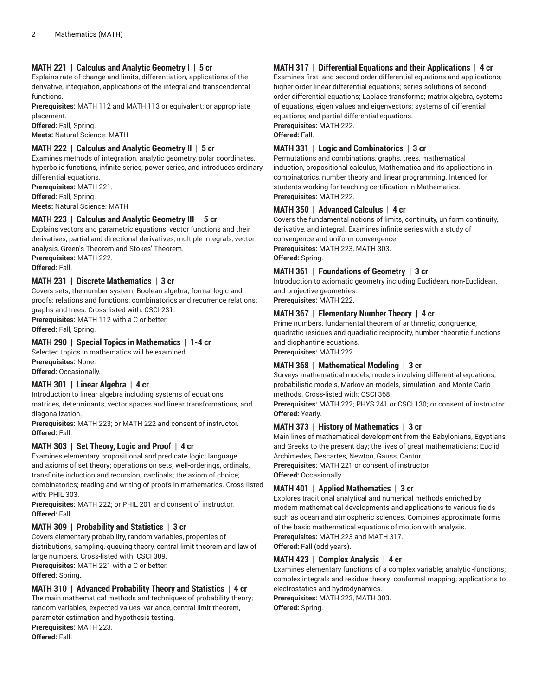## **MATH 221 | Calculus and Analytic Geometry I | 5 cr**

Explains rate of change and limits, differentiation, applications of the derivative, integration, applications of the integral and transcendental functions.

**Prerequisites:** MATH 112 and MATH 113 or equivalent; or appropriate placement.

**Offered:** Fall, Spring. **Meets:** Natural Science: MATH

## **MATH 222 | Calculus and Analytic Geometry II | 5 cr**

Examines methods of integration, analytic geometry, polar coordinates, hyperbolic functions, infinite series, power series, and introduces ordinary differential equations.

**Prerequisites:** MATH 221. **Offered:** Fall, Spring. **Meets:** Natural Science: MATH

## **MATH 223 | Calculus and Analytic Geometry III | 5 cr**

Explains vectors and parametric equations, vector functions and their derivatives, partial and directional derivatives, multiple integrals, vector analysis, Green's Theorem and Stokes' Theorem.

**Prerequisites:** MATH 222. **Offered:** Fall.

## **MATH 231 | Discrete Mathematics | 3 cr**

Covers sets; the number system; Boolean algebra; formal logic and proofs; relations and functions; combinatorics and recurrence relations; graphs and trees. Cross-listed with: CSCI 231.

**Prerequisites:** MATH 112 with a C or better.

**Offered:** Fall, Spring.

#### **MATH 290 | Special Topics in Mathematics | 1-4 cr**

Selected topics in mathematics will be examined. **Prerequisites:** None.

**Offered:** Occasionally.

#### **MATH 301 | Linear Algebra | 4 cr**

Introduction to linear algebra including systems of equations, matrices, determinants, vector spaces and linear transformations, and diagonalization.

**Prerequisites:** MATH 223; or MATH 222 and consent of instructor. **Offered:** Fall.

## **MATH 303 | Set Theory, Logic and Proof | 4 cr**

Examines elementary propositional and predicate logic; language and axioms of set theory; operations on sets; well-orderings, ordinals, transfinite induction and recursion; cardinals; the axiom of choice; combinatorics; reading and writing of proofs in mathematics. Cross-listed with: PHIL 303.

**Prerequisites:** MATH 222; or PHIL 201 and consent of instructor. **Offered:** Fall.

## **MATH 309 | Probability and Statistics | 3 cr**

Covers elementary probability, random variables, properties of distributions, sampling, queuing theory, central limit theorem and law of large numbers. Cross-listed with: CSCI 309.

**Prerequisites:** MATH 221 with a C or better.

**Offered:** Spring.

### **MATH 310 | Advanced Probability Theory and Statistics | 4 cr**

The main mathematical methods and techniques of probability theory; random variables, expected values, variance, central limit theorem, parameter estimation and hypothesis testing.

**Prerequisites:** MATH 223. **Offered:** Fall.

# **MATH 317 | Differential Equations and their Applications | 4 cr**

Examines first- and second-order differential equations and applications; higher-order linear differential equations; series solutions of secondorder differential equations; Laplace transforms; matrix algebra, systems of equations, eigen values and eigenvectors; systems of differential equations; and partial differential equations. **Prerequisites:** MATH 222.

**Offered:** Fall.

## **MATH 331 | Logic and Combinatorics | 3 cr**

Permutations and combinations, graphs, trees, mathematical induction, propositional calculus, Mathematica and its applications in combinatorics, number theory and linear programming. Intended for students working for teaching certification in Mathematics. **Prerequisites:** MATH 222.

## **MATH 350 | Advanced Calculus | 4 cr**

Covers the fundamental notions of limits, continuity, uniform continuity, derivative, and integral. Examines infinite series with a study of convergence and uniform convergence.

**Prerequisites:** MATH 223, MATH 303.

**Offered:** Spring.

#### **MATH 361 | Foundations of Geometry | 3 cr**

Introduction to axiomatic geometry including Euclidean, non-Euclidean, and projective geometries.

**Prerequisites:** MATH 222.

## **MATH 367 | Elementary Number Theory | 4 cr**

Prime numbers, fundamental theorem of arithmetic, congruence, quadratic residues and quadratic reciprocity, number theoretic functions and diophantine equations. **Prerequisites:** MATH 222.

**MATH 368 | Mathematical Modeling | 3 cr**

Surveys mathematical models, models involving differential equations, probabilistic models, Markovian-models, simulation, and Monte Carlo methods. Cross-listed with: CSCI 368.

**Prerequisites:** MATH 222; PHYS 241 or CSCI 130; or consent of instructor. **Offered:** Yearly.

## **MATH 373 | History of Mathematics | 3 cr**

Main lines of mathematical development from the Babylonians, Egyptians and Greeks to the present day; the lives of great mathematicians: Euclid, Archimedes, Descartes, Newton, Gauss, Cantor.

**Prerequisites:** MATH 221 or consent of instructor. **Offered:** Occasionally.

## **MATH 401 | Applied Mathematics | 3 cr**

Explores traditional analytical and numerical methods enriched by modern mathematical developments and applications to various fields such as ocean and atmospheric sciences. Combines approximate forms of the basic mathematical equations of motion with analysis. **Prerequisites:** MATH 223 and MATH 317. **Offered:** Fall (odd years).

**MATH 423 | Complex Analysis | 4 cr**

Examines elementary functions of a complex variable; analytic -functions; complex integrals and residue theory; conformal mapping; applications to electrostatics and hydrodynamics.

**Prerequisites:** MATH 223, MATH 303. **Offered:** Spring.